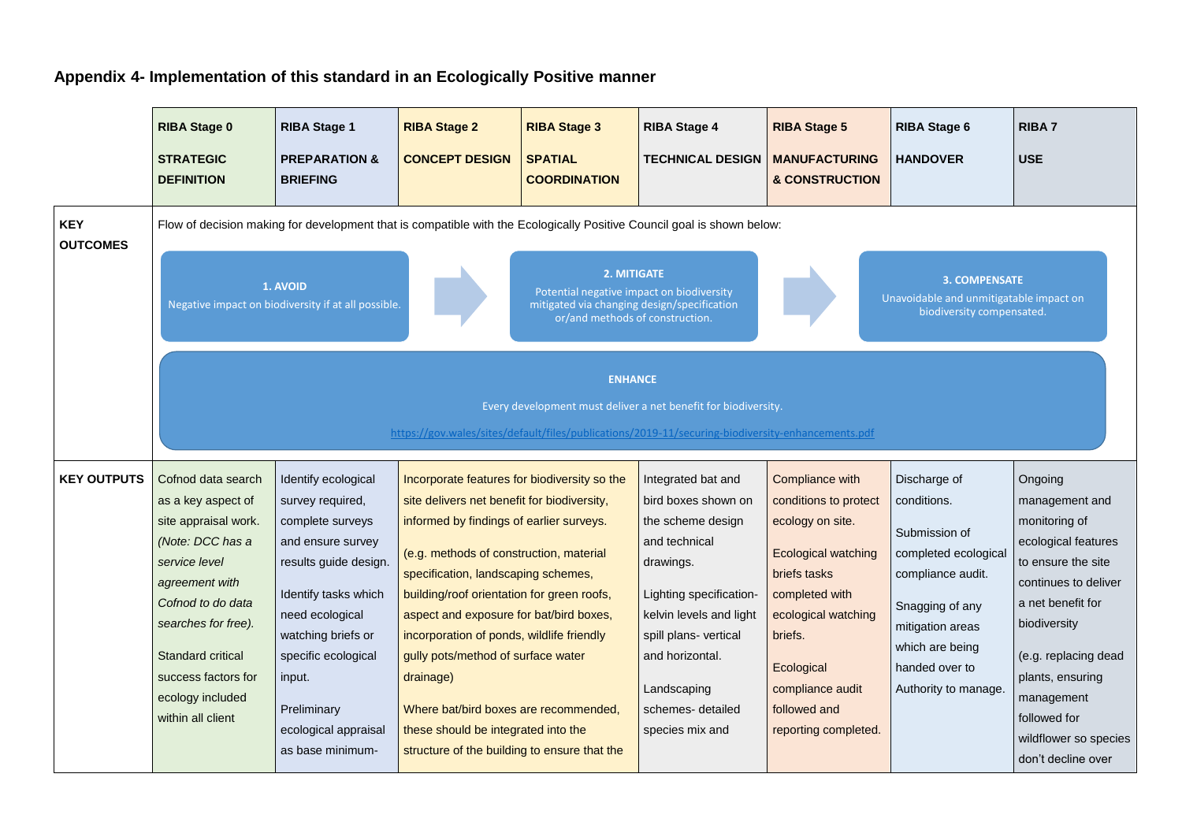## **Appendix 4- Implementation of this standard in an Ecologically Positive manner**

|                               | <b>RIBA Stage 0</b><br><b>STRATEGIC</b><br><b>DEFINITION</b>                                                                                                                                                                                                    | <b>RIBA Stage 1</b><br><b>PREPARATION &amp;</b><br><b>BRIEFING</b>                                                                                                                                                                                                     | <b>RIBA Stage 2</b><br><b>CONCEPT DESIGN</b>                                                                                                                                                                                                                                                                                                                                                                                                                                                                                                       | <b>RIBA Stage 3</b><br><b>SPATIAL</b><br><b>COORDINATION</b>                                                                               | <b>RIBA Stage 4</b><br><b>TECHNICAL DESIGN</b>                                                                                                                                                                                                        | <b>RIBA Stage 5</b><br><b>MANUFACTURING</b><br><b>&amp; CONSTRUCTION</b>                                                                                                                                                          | <b>RIBA Stage 6</b><br><b>HANDOVER</b>                                                                                                                                                        | <b>RIBA7</b><br><b>USE</b>                                                                                                                                                                                                                                                    |
|-------------------------------|-----------------------------------------------------------------------------------------------------------------------------------------------------------------------------------------------------------------------------------------------------------------|------------------------------------------------------------------------------------------------------------------------------------------------------------------------------------------------------------------------------------------------------------------------|----------------------------------------------------------------------------------------------------------------------------------------------------------------------------------------------------------------------------------------------------------------------------------------------------------------------------------------------------------------------------------------------------------------------------------------------------------------------------------------------------------------------------------------------------|--------------------------------------------------------------------------------------------------------------------------------------------|-------------------------------------------------------------------------------------------------------------------------------------------------------------------------------------------------------------------------------------------------------|-----------------------------------------------------------------------------------------------------------------------------------------------------------------------------------------------------------------------------------|-----------------------------------------------------------------------------------------------------------------------------------------------------------------------------------------------|-------------------------------------------------------------------------------------------------------------------------------------------------------------------------------------------------------------------------------------------------------------------------------|
| <b>KEY</b><br><b>OUTCOMES</b> |                                                                                                                                                                                                                                                                 | 1. AVOID<br>Negative impact on biodiversity if at all possible.                                                                                                                                                                                                        |                                                                                                                                                                                                                                                                                                                                                                                                                                                                                                                                                    | 2. MITIGATE<br>Potential negative impact on biodiversity<br>mitigated via changing design/specification<br>or/and methods of construction. | Flow of decision making for development that is compatible with the Ecologically Positive Council goal is shown below:                                                                                                                                |                                                                                                                                                                                                                                   | <b>3. COMPENSATE</b><br>Unavoidable and unmitigatable impact on<br>biodiversity compensated.                                                                                                  |                                                                                                                                                                                                                                                                               |
|                               |                                                                                                                                                                                                                                                                 |                                                                                                                                                                                                                                                                        |                                                                                                                                                                                                                                                                                                                                                                                                                                                                                                                                                    | <b>ENHANCE</b>                                                                                                                             | Every development must deliver a net benefit for biodiversity.<br>https://gov.wales/sites/default/files/publications/2019-11/securing-biodiversity-enhancements.pdf                                                                                   |                                                                                                                                                                                                                                   |                                                                                                                                                                                               |                                                                                                                                                                                                                                                                               |
| <b>KEY OUTPUTS</b>            | Cofnod data search<br>as a key aspect of<br>site appraisal work.<br>(Note: DCC has a<br>service level<br>agreement with<br>Cofnod to do data<br>searches for free).<br><b>Standard critical</b><br>success factors for<br>ecology included<br>within all client | Identify ecological<br>survey required,<br>complete surveys<br>and ensure survey<br>results guide design.<br>Identify tasks which<br>need ecological<br>watching briefs or<br>specific ecological<br>input.<br>Preliminary<br>ecological appraisal<br>as base minimum- | Incorporate features for biodiversity so the<br>site delivers net benefit for biodiversity,<br>informed by findings of earlier surveys.<br>(e.g. methods of construction, material<br>specification, landscaping schemes,<br>building/roof orientation for green roofs,<br>aspect and exposure for bat/bird boxes,<br>incorporation of ponds, wildlife friendly<br>gully pots/method of surface water<br>drainage)<br>Where bat/bird boxes are recommended,<br>these should be integrated into the<br>structure of the building to ensure that the |                                                                                                                                            | Integrated bat and<br>bird boxes shown on<br>the scheme design<br>and technical<br>drawings.<br>Lighting specification-<br>kelvin levels and light<br>spill plans- vertical<br>and horizontal.<br>Landscaping<br>schemes- detailed<br>species mix and | Compliance with<br>conditions to protect<br>ecology on site.<br>Ecological watching<br>briefs tasks<br>completed with<br>ecological watching<br>briefs.<br>Ecological<br>compliance audit<br>followed and<br>reporting completed. | Discharge of<br>conditions.<br>Submission of<br>completed ecological<br>compliance audit.<br>Snagging of any<br>mitigation areas<br>which are being<br>handed over to<br>Authority to manage. | Ongoing<br>management and<br>monitoring of<br>ecological features<br>to ensure the site<br>continues to deliver<br>a net benefit for<br>biodiversity<br>(e.g. replacing dead<br>plants, ensuring<br>management<br>followed for<br>wildflower so species<br>don't decline over |

- 
- 
-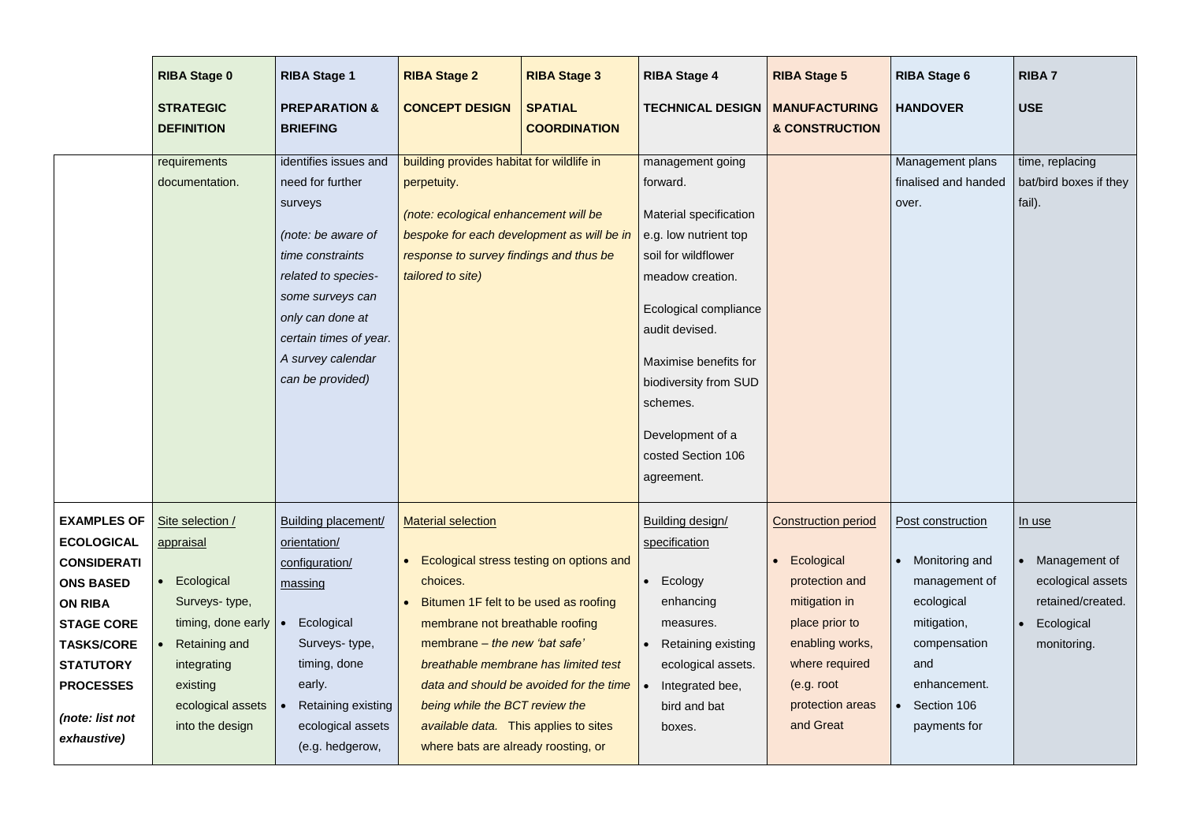|                    | <b>RIBA Stage 0</b>                   | <b>RIBA Stage 1</b>                         | <b>RIBA Stage 2</b>                                                          | <b>RIBA Stage 3</b>                      | <b>RIBA Stage 4</b>           | <b>RIBA Stage 5</b>                               | <b>RIBA Stage 6</b>           | <b>RIBA7</b>                     |
|--------------------|---------------------------------------|---------------------------------------------|------------------------------------------------------------------------------|------------------------------------------|-------------------------------|---------------------------------------------------|-------------------------------|----------------------------------|
|                    | <b>STRATEGIC</b><br><b>DEFINITION</b> | <b>PREPARATION &amp;</b><br><b>BRIEFING</b> | <b>CONCEPT DESIGN</b>                                                        | <b>SPATIAL</b><br><b>COORDINATION</b>    | <b>TECHNICAL DESIGN</b>       | <b>MANUFACTURING</b><br><b>&amp; CONSTRUCTION</b> | <b>HANDOVER</b>               | USE                              |
|                    |                                       |                                             |                                                                              |                                          |                               |                                                   |                               |                                  |
|                    | requirements                          | identifies issues and                       | building provides habitat for wildlife in                                    |                                          | management going              |                                                   | Management plans              | time, replacing                  |
|                    | documentation.                        | need for further<br>surveys                 | perpetuity.                                                                  |                                          | forward.                      |                                                   | finalised and handed<br>over. | bat/bird boxes if they<br>fail). |
|                    |                                       |                                             | (note: ecological enhancement will be                                        |                                          | <b>Material specification</b> |                                                   |                               |                                  |
|                    |                                       | (note: be aware of                          | bespoke for each development as will be in                                   |                                          | e.g. low nutrient top         |                                                   |                               |                                  |
|                    |                                       | time constraints                            | response to survey findings and thus be                                      |                                          | soil for wildflower           |                                                   |                               |                                  |
|                    |                                       | related to species-                         | tailored to site)                                                            |                                          | meadow creation.              |                                                   |                               |                                  |
|                    |                                       | some surveys can                            |                                                                              |                                          | Ecological compliance         |                                                   |                               |                                  |
|                    |                                       | only can done at<br>certain times of year.  |                                                                              |                                          | audit devised.                |                                                   |                               |                                  |
|                    |                                       | A survey calendar                           |                                                                              |                                          | Maximise benefits for         |                                                   |                               |                                  |
|                    |                                       | can be provided)                            |                                                                              |                                          | biodiversity from SUD         |                                                   |                               |                                  |
|                    |                                       |                                             |                                                                              |                                          | schemes.                      |                                                   |                               |                                  |
|                    |                                       |                                             |                                                                              |                                          |                               |                                                   |                               |                                  |
|                    |                                       |                                             |                                                                              |                                          | Development of a              |                                                   |                               |                                  |
|                    |                                       |                                             |                                                                              |                                          | costed Section 106            |                                                   |                               |                                  |
|                    |                                       |                                             |                                                                              |                                          | agreement.                    |                                                   |                               |                                  |
| <b>EXAMPLES OF</b> | Site selection /                      | <b>Building placement/</b>                  | <b>Material selection</b>                                                    |                                          | Building design/              | <b>Construction period</b>                        | Post construction             | <u>In use</u>                    |
| <b>ECOLOGICAL</b>  | appraisal                             | orientation/                                |                                                                              |                                          | specification                 |                                                   |                               |                                  |
| <b>CONSIDERATI</b> |                                       | configuration/                              |                                                                              | Ecological stress testing on options and |                               | Ecological                                        | Monitoring and<br>$\bullet$   | Management of                    |
| <b>ONS BASED</b>   | Ecological                            | massing                                     | choices.                                                                     |                                          | Ecology                       | protection and                                    | management of                 | ecological assets                |
| <b>ON RIBA</b>     | Surveys-type,                         |                                             | Bitumen 1F felt to be used as roofing                                        |                                          | enhancing                     | mitigation in                                     | ecological                    | retained/created.                |
| <b>STAGE CORE</b>  | timing, done early                    | Ecological                                  | membrane not breathable roofing                                              |                                          | measures.                     | place prior to                                    | mitigation,                   | Ecological                       |
| <b>TASKS/CORE</b>  | <b>Retaining and</b>                  | Surveys-type,                               | membrane – the new 'bat safe'                                                |                                          | <b>Retaining existing</b>     | enabling works,                                   | compensation                  | monitoring.                      |
| <b>STATUTORY</b>   | integrating                           | timing, done                                |                                                                              | breathable membrane has limited test     | ecological assets.            | where required                                    | and                           |                                  |
| <b>PROCESSES</b>   | existing                              | early.                                      |                                                                              | data and should be avoided for the time  | Integrated bee,               | (e.g. root                                        | enhancement.                  |                                  |
| (note: list not    | ecological assets<br>into the design  | Retaining existing                          | being while the BCT review the                                               |                                          | bird and bat                  | protection areas<br>and Great                     | Section 106<br>$\bullet$      |                                  |
| exhaustive)        |                                       | ecological assets<br>(e.g. hedgerow,        | available data. This applies to sites<br>where bats are already roosting, or |                                          | boxes.                        |                                                   | payments for                  |                                  |
|                    |                                       |                                             |                                                                              |                                          |                               |                                                   |                               |                                  |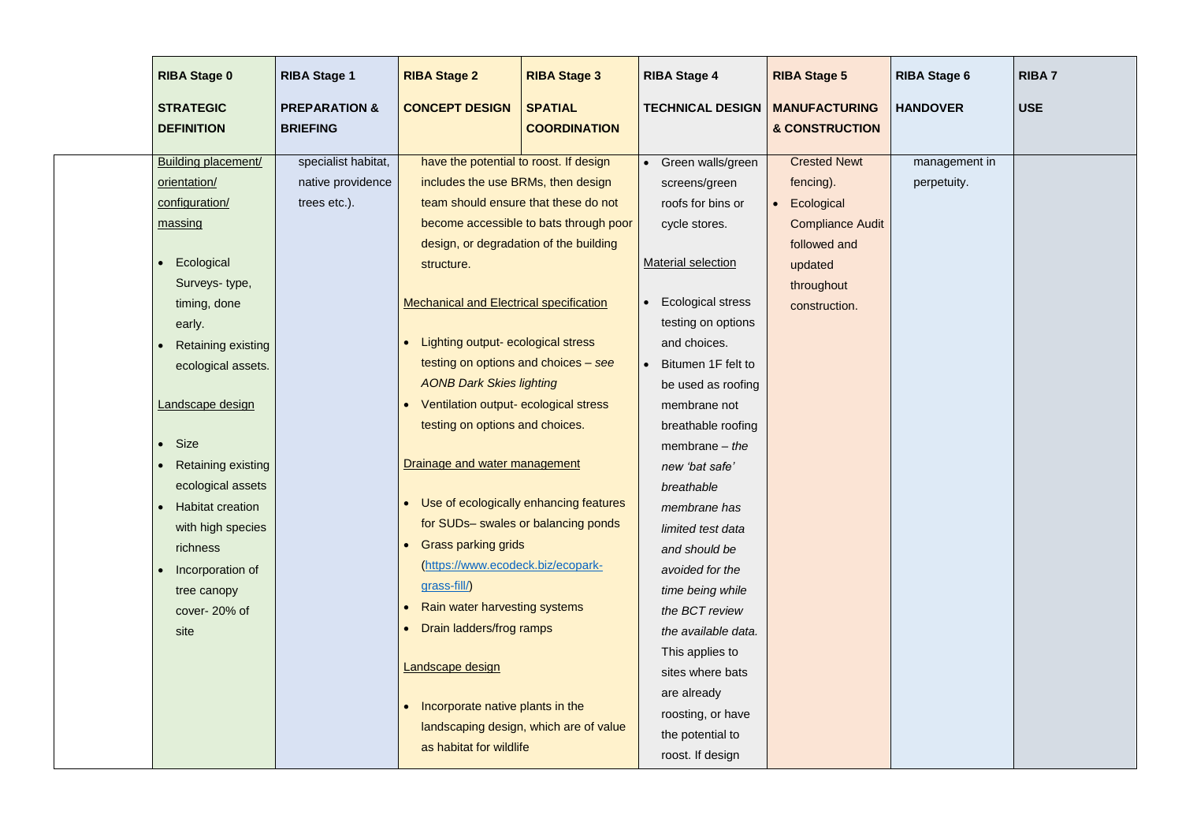| <b>RIBA Stage 0</b>                                                                                               | <b>RIBA Stage 1</b>                                                                                                                                                                                                                                                                                     | <b>RIBA Stage 2</b>                                                                        |                                                                                                                                                                                                                                                                                                                                                                                                                                                                                                                                                                                                                                               | <b>RIBA Stage 3</b>                                                                                                                                               | <b>RIBA Stage 4</b>                                                                                                                                                                                                                                                                                                                                                                                                                                                                                                                                                                 | <b>RIBA Stage 5</b>                                                                                                                 |
|-------------------------------------------------------------------------------------------------------------------|---------------------------------------------------------------------------------------------------------------------------------------------------------------------------------------------------------------------------------------------------------------------------------------------------------|--------------------------------------------------------------------------------------------|-----------------------------------------------------------------------------------------------------------------------------------------------------------------------------------------------------------------------------------------------------------------------------------------------------------------------------------------------------------------------------------------------------------------------------------------------------------------------------------------------------------------------------------------------------------------------------------------------------------------------------------------------|-------------------------------------------------------------------------------------------------------------------------------------------------------------------|-------------------------------------------------------------------------------------------------------------------------------------------------------------------------------------------------------------------------------------------------------------------------------------------------------------------------------------------------------------------------------------------------------------------------------------------------------------------------------------------------------------------------------------------------------------------------------------|-------------------------------------------------------------------------------------------------------------------------------------|
| <b>STRATEGIC</b><br><b>DEFINITION</b>                                                                             | <b>PREPARATION &amp;</b><br><b>BRIEFING</b>                                                                                                                                                                                                                                                             |                                                                                            | <b>CONCEPT DESIGN</b>                                                                                                                                                                                                                                                                                                                                                                                                                                                                                                                                                                                                                         | <b>SPATIAL</b><br><b>COORDINATION</b>                                                                                                                             | <b>TECHNICAL DESIGN</b>                                                                                                                                                                                                                                                                                                                                                                                                                                                                                                                                                             | <b>MANUFACTURING</b><br><b>&amp; CONSTRUCTION</b>                                                                                   |
| orientation/<br>configuration/<br>massing<br>Ecological<br>early.<br><b>Size</b><br>$\bullet$<br>richness<br>site | <b>Building placement/</b><br>trees etc.).<br>Surveys-type,<br>timing, done<br><b>Retaining existing</b><br>ecological assets.<br>Landscape design<br><b>Retaining existing</b><br>ecological assets<br><b>Habitat creation</b><br>with high species<br>Incorporation of<br>tree canopy<br>cover-20% of | specialist habitat,<br>native providence<br>structure.<br>grass-fill/)<br>Landscape design | have the potential to roost. If design<br>includes the use BRMs, then design<br>team should ensure that these do not<br>design, or degradation of the building<br><b>Mechanical and Electrical specification</b><br>Lighting output- ecological stress<br>testing on options and choices – see<br><b>AONB Dark Skies lighting</b><br>Ventilation output- ecological stress<br>testing on options and choices.<br>Drainage and water management<br><b>Grass parking grids</b><br>(https://www.ecodeck.biz/ecopark-<br>Rain water harvesting systems<br>Drain ladders/frog ramps<br>Incorporate native plants in the<br>as habitat for wildlife | become accessible to bats through poor<br>Use of ecologically enhancing features<br>for SUDs- swales or balancing ponds<br>landscaping design, which are of value | Green walls/green<br>screens/green<br>roofs for bins or<br>cycle stores.<br><b>Material selection</b><br><b>Ecological stress</b><br>testing on options<br>and choices.<br>Bitumen 1F felt to<br>$\bullet$<br>be used as roofing<br>membrane not<br>breathable roofing<br>membrane $-$ the<br>new 'bat safe'<br>breathable<br>membrane has<br>limited test data<br>and should be<br>avoided for the<br>time being while<br>the BCT review<br>the available data.<br>This applies to<br>sites where bats<br>are already<br>roosting, or have<br>the potential to<br>roost. If design | <b>Crested Newt</b><br>fencing).<br>Ecological<br><b>Compliance Audit</b><br>followed and<br>updated<br>throughout<br>construction. |

| <b>RIBA Stage 6</b>          | <b>RIBA7</b> |
|------------------------------|--------------|
| <b>HANDOVER</b>              | <b>USE</b>   |
| management in<br>perpetuity. |              |
|                              |              |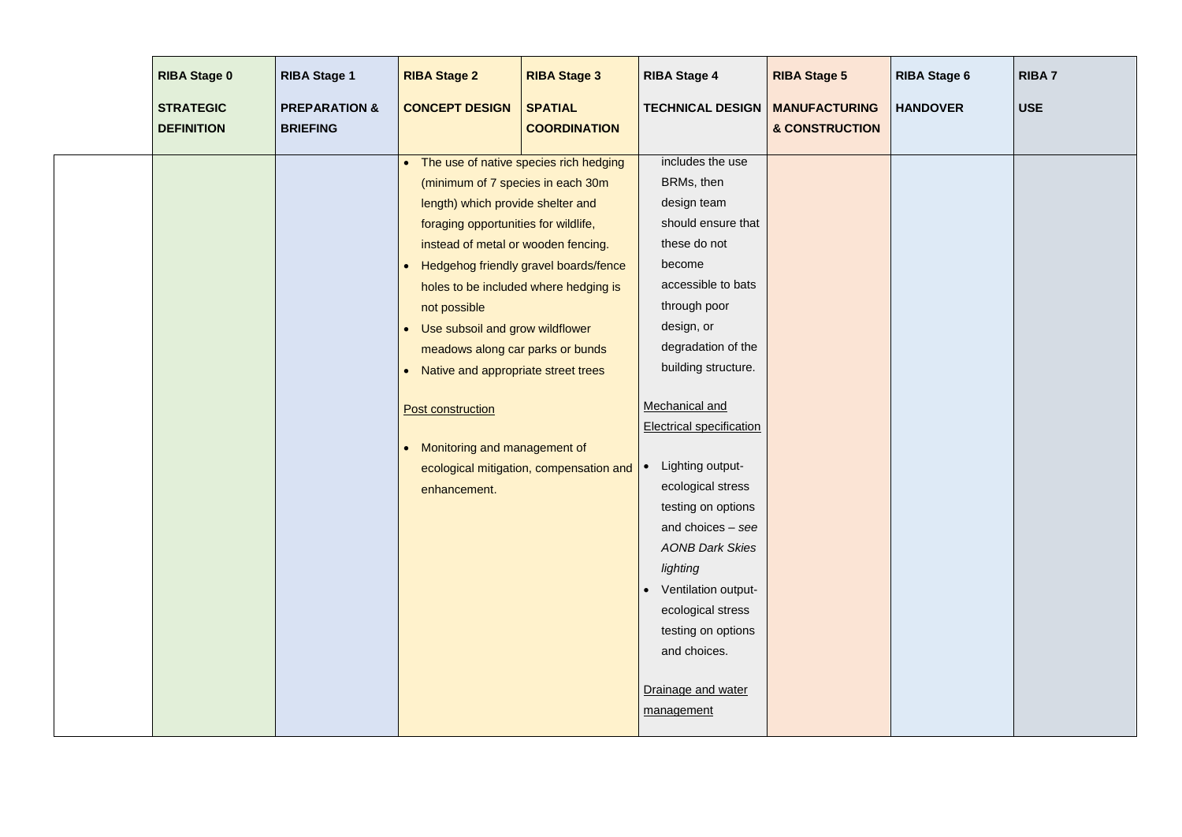| <b>RIBA Stage 0</b>                   | <b>RIBA Stage 1</b>                         | <b>RIBA Stage 2</b>                                                                                                                                                                                                                                                                                                                                                                                        | <b>RIBA Stage 3</b>                                                                                                                                                 | <b>RIBA Stage 4</b>                                                                                                                                                                                                                                                                                                                                                                                                                                                                                                           | <b>RIBA Stage 5</b>                    | <b>RIBA Stage 6</b> | <b>RIBA7</b> |
|---------------------------------------|---------------------------------------------|------------------------------------------------------------------------------------------------------------------------------------------------------------------------------------------------------------------------------------------------------------------------------------------------------------------------------------------------------------------------------------------------------------|---------------------------------------------------------------------------------------------------------------------------------------------------------------------|-------------------------------------------------------------------------------------------------------------------------------------------------------------------------------------------------------------------------------------------------------------------------------------------------------------------------------------------------------------------------------------------------------------------------------------------------------------------------------------------------------------------------------|----------------------------------------|---------------------|--------------|
| <b>STRATEGIC</b><br><b>DEFINITION</b> | <b>PREPARATION &amp;</b><br><b>BRIEFING</b> | <b>CONCEPT DESIGN</b>                                                                                                                                                                                                                                                                                                                                                                                      | <b>SPATIAL</b><br><b>COORDINATION</b>                                                                                                                               | <b>TECHNICAL DESIGN</b>                                                                                                                                                                                                                                                                                                                                                                                                                                                                                                       | <b>MANUFACTURING</b><br>& CONSTRUCTION | <b>HANDOVER</b>     | <b>USE</b>   |
|                                       |                                             | $\bullet$<br>(minimum of 7 species in each 30m<br>length) which provide shelter and<br>foraging opportunities for wildlife,<br>instead of metal or wooden fencing.<br>$\bullet$<br>not possible<br>• Use subsoil and grow wildflower<br>meadows along car parks or bunds<br>• Native and appropriate street trees<br><b>Post construction</b><br>Monitoring and management of<br>$\bullet$<br>enhancement. | The use of native species rich hedging<br>Hedgehog friendly gravel boards/fence<br>holes to be included where hedging is<br>ecological mitigation, compensation and | includes the use<br>BRMs, then<br>design team<br>should ensure that<br>these do not<br>become<br>accessible to bats<br>through poor<br>design, or<br>degradation of the<br>building structure.<br>Mechanical and<br><b>Electrical specification</b><br>Lighting output-<br>$\bullet$<br>ecological stress<br>testing on options<br>and choices - see<br><b>AONB Dark Skies</b><br>lighting<br>Ventilation output-<br>$\bullet$<br>ecological stress<br>testing on options<br>and choices.<br>Drainage and water<br>management |                                        |                     |              |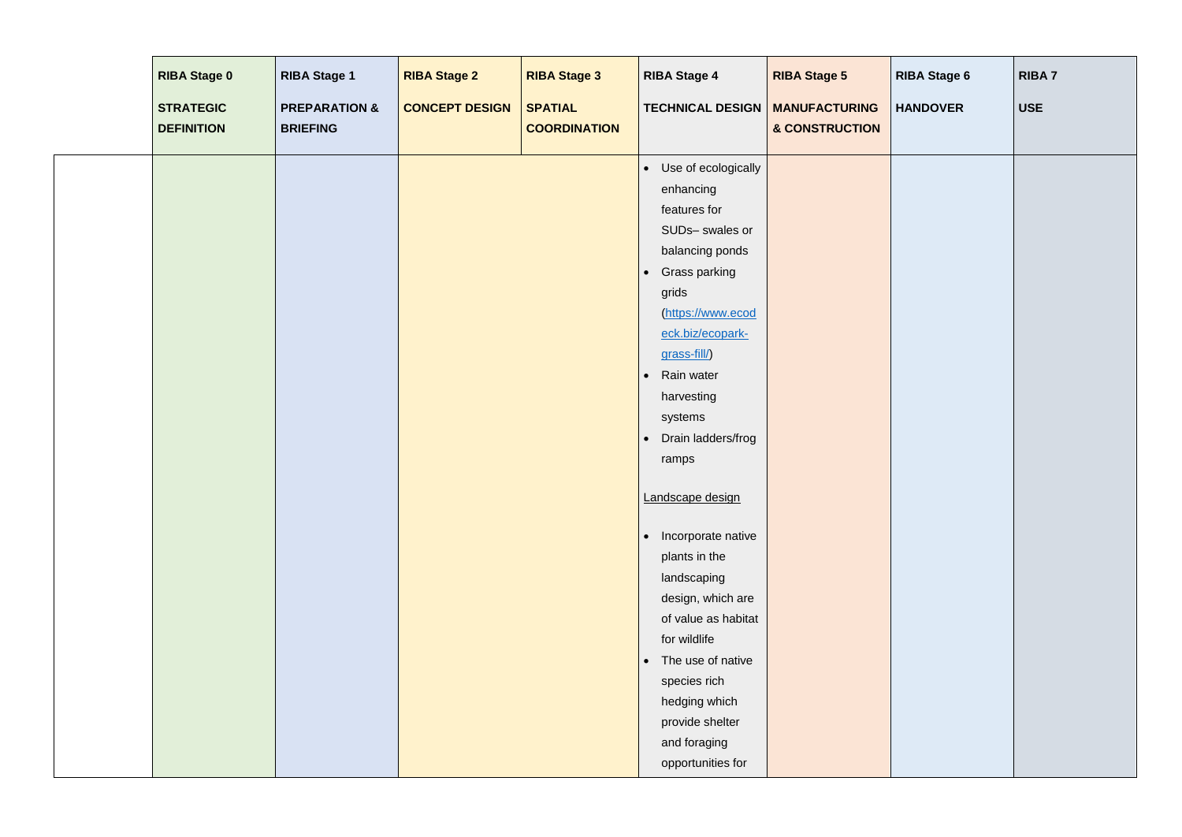| <b>RIBA Stage 0</b><br><b>STRATEGIC</b><br><b>DEFINITION</b> | <b>RIBA Stage 1</b><br><b>PREPARATION &amp;</b><br><b>BRIEFING</b> | <b>RIBA Stage 2</b><br><b>CONCEPT DESIGN</b> | <b>RIBA Stage 3</b><br><b>SPATIAL</b><br><b>COORDINATION</b> | <b>RIBA Stage 4</b><br><b>TECHNICAL DESIGN   MANUFACTURING</b>                                                                                                                                                                                                                                                                                                                                                                                                                                                                                                                           | <b>RIBA Stage 5</b><br>& CONSTRUCTION | <b>RIBA Stage 6</b><br><b>HANDOVER</b> | <b>RIBA7</b><br><b>USE</b> |
|--------------------------------------------------------------|--------------------------------------------------------------------|----------------------------------------------|--------------------------------------------------------------|------------------------------------------------------------------------------------------------------------------------------------------------------------------------------------------------------------------------------------------------------------------------------------------------------------------------------------------------------------------------------------------------------------------------------------------------------------------------------------------------------------------------------------------------------------------------------------------|---------------------------------------|----------------------------------------|----------------------------|
|                                                              |                                                                    |                                              |                                                              | Use of ecologically<br>$\bullet$<br>enhancing<br>features for<br>SUDs- swales or<br>balancing ponds<br><b>Grass parking</b><br>$\bullet$<br>grids<br>(https://www.ecod<br>eck.biz/ecopark-<br>grass-fill/)<br>Rain water<br>$\bullet$<br>harvesting<br>systems<br>Drain ladders/frog<br>$\bullet$<br>ramps<br>Landscape design<br>Incorporate native<br>$\bullet$<br>plants in the<br>landscaping<br>design, which are<br>of value as habitat<br>for wildlife<br>The use of native<br>$\bullet$<br>species rich<br>hedging which<br>provide shelter<br>and foraging<br>opportunities for |                                       |                                        |                            |